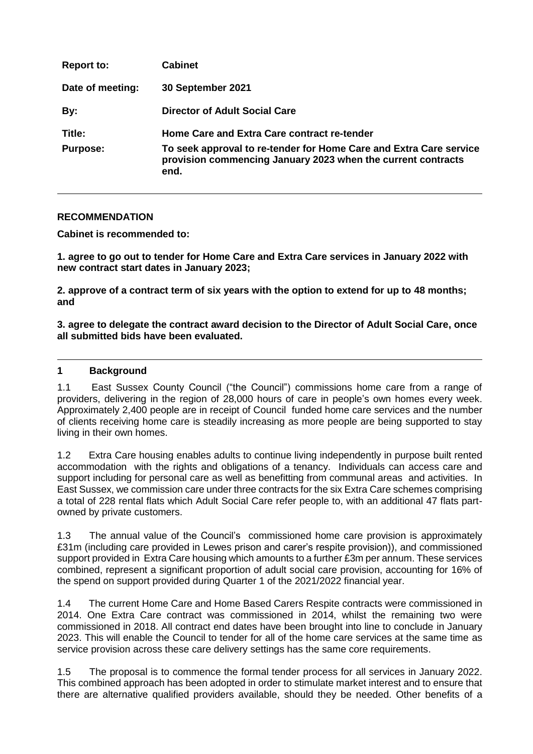| <b>Report to:</b> | <b>Cabinet</b>                                                                                                                             |
|-------------------|--------------------------------------------------------------------------------------------------------------------------------------------|
| Date of meeting:  | 30 September 2021                                                                                                                          |
| By:               | <b>Director of Adult Social Care</b>                                                                                                       |
| Title:            | Home Care and Extra Care contract re-tender                                                                                                |
| <b>Purpose:</b>   | To seek approval to re-tender for Home Care and Extra Care service<br>provision commencing January 2023 when the current contracts<br>end. |

### **RECOMMENDATION**

**Cabinet is recommended to:**

**1. agree to go out to tender for Home Care and Extra Care services in January 2022 with new contract start dates in January 2023;**

**2. approve of a contract term of six years with the option to extend for up to 48 months; and**

**3. agree to delegate the contract award decision to the Director of Adult Social Care, once all submitted bids have been evaluated.**

#### **1 Background**

1.1 East Sussex County Council ("the Council") commissions home care from a range of providers, delivering in the region of 28,000 hours of care in people's own homes every week. Approximately 2,400 people are in receipt of Council funded home care services and the number of clients receiving home care is steadily increasing as more people are being supported to stay living in their own homes.

1.2 Extra Care housing enables adults to continue living independently in purpose built rented accommodation with the rights and obligations of a tenancy. Individuals can access care and support including for personal care as well as benefitting from communal areas and activities. In East Sussex, we commission care under three contracts for the six Extra Care schemes comprising a total of 228 rental flats which Adult Social Care refer people to, with an additional 47 flats partowned by private customers.

1.3 The annual value of the Council's commissioned home care provision is approximately £31m (including care provided in Lewes prison and carer's respite provision)), and commissioned support provided in Extra Care housing which amounts to a further £3m per annum. These services combined, represent a significant proportion of adult social care provision, accounting for 16% of the spend on support provided during Quarter 1 of the 2021/2022 financial year.

1.4 The current Home Care and Home Based Carers Respite contracts were commissioned in 2014. One Extra Care contract was commissioned in 2014, whilst the remaining two were commissioned in 2018. All contract end dates have been brought into line to conclude in January 2023. This will enable the Council to tender for all of the home care services at the same time as service provision across these care delivery settings has the same core requirements.

1.5 The proposal is to commence the formal tender process for all services in January 2022. This combined approach has been adopted in order to stimulate market interest and to ensure that there are alternative qualified providers available, should they be needed. Other benefits of a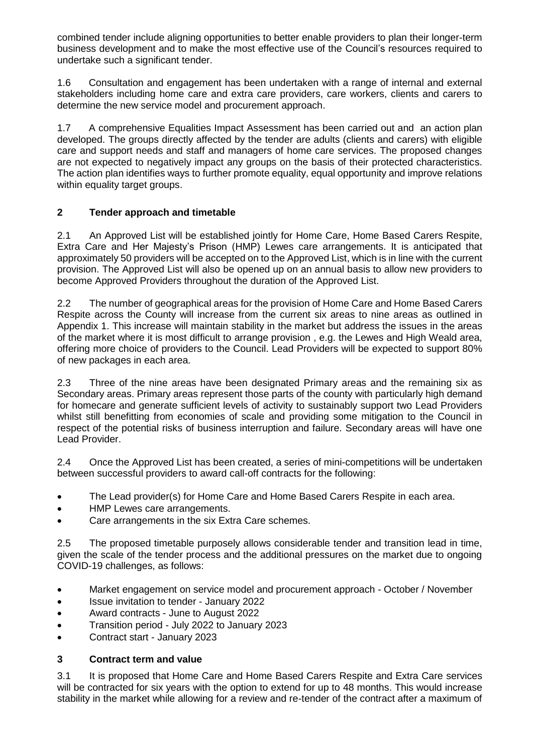combined tender include aligning opportunities to better enable providers to plan their longer-term business development and to make the most effective use of the Council's resources required to undertake such a significant tender.

1.6 Consultation and engagement has been undertaken with a range of internal and external stakeholders including home care and extra care providers, care workers, clients and carers to determine the new service model and procurement approach.

1.7 A comprehensive Equalities Impact Assessment has been carried out and an action plan developed. The groups directly affected by the tender are adults (clients and carers) with eligible care and support needs and staff and managers of home care services. The proposed changes are not expected to negatively impact any groups on the basis of their protected characteristics. The action plan identifies ways to further promote equality, equal opportunity and improve relations within equality target groups.

# **2 Tender approach and timetable**

2.1 An Approved List will be established jointly for Home Care, Home Based Carers Respite, Extra Care and Her Majesty's Prison (HMP) Lewes care arrangements. It is anticipated that approximately 50 providers will be accepted on to the Approved List, which is in line with the current provision. The Approved List will also be opened up on an annual basis to allow new providers to become Approved Providers throughout the duration of the Approved List.

2.2 The number of geographical areas for the provision of Home Care and Home Based Carers Respite across the County will increase from the current six areas to nine areas as outlined in Appendix 1. This increase will maintain stability in the market but address the issues in the areas of the market where it is most difficult to arrange provision , e.g. the Lewes and High Weald area, offering more choice of providers to the Council. Lead Providers will be expected to support 80% of new packages in each area.

2.3 Three of the nine areas have been designated Primary areas and the remaining six as Secondary areas. Primary areas represent those parts of the county with particularly high demand for homecare and generate sufficient levels of activity to sustainably support two Lead Providers whilst still benefitting from economies of scale and providing some mitigation to the Council in respect of the potential risks of business interruption and failure. Secondary areas will have one Lead Provider.

2.4 Once the Approved List has been created, a series of mini-competitions will be undertaken between successful providers to award call-off contracts for the following:

- The Lead provider(s) for Home Care and Home Based Carers Respite in each area.
- HMP Lewes care arrangements.
- Care arrangements in the six Extra Care schemes.

2.5 The proposed timetable purposely allows considerable tender and transition lead in time, given the scale of the tender process and the additional pressures on the market due to ongoing COVID-19 challenges, as follows:

- Market engagement on service model and procurement approach October / November
- Issue invitation to tender January 2022
- Award contracts June to August 2022
- Transition period July 2022 to January 2023
- Contract start January 2023

# **3 Contract term and value**

3.1 It is proposed that Home Care and Home Based Carers Respite and Extra Care services will be contracted for six years with the option to extend for up to 48 months. This would increase stability in the market while allowing for a review and re-tender of the contract after a maximum of